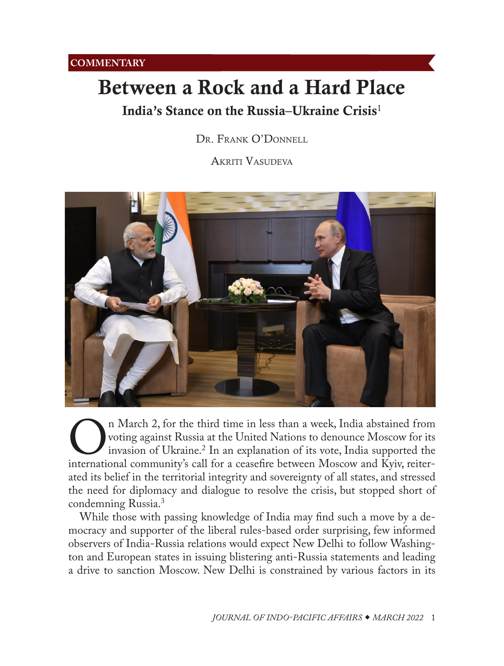# <span id="page-0-0"></span>Between a Rock and a Hard Place

## India's Stance on the Russia-Ukraine Crisis<sup>[1](#page-4-0)</sup>

DR. FRANK O'DONNELL

Akriti Vasudeva



On March 2, for the third time in less than a week, India abstained from<br>voting against Russia at the United Nations to denounce Moscow for its<br>invasion of Ukraine.<sup>2</sup> In an explanation of its vote, India supported the<br>int voting against Russia at the United Nations to denounce Moscow for its invasion of Ukraine.2 In an explanation of its vote, India supported the international community's call for a ceasefire between Moscow and Kyiv, reiterated its belief in the territorial integrity and sovereignty of all states, and stressed the need for diplomacy and dialogue to resolve the crisis, but stopped short of condemning Russia.[3](#page-4-0)

While those with passing knowledge of India may find such a move by a democracy and supporter of the liberal rules-based order surprising, few informed observers of India-Russia relations would expect New Delhi to follow Washington and European states in issuing blistering anti-Russia statements and leading a drive to sanction Moscow. New Delhi is constrained by various factors in its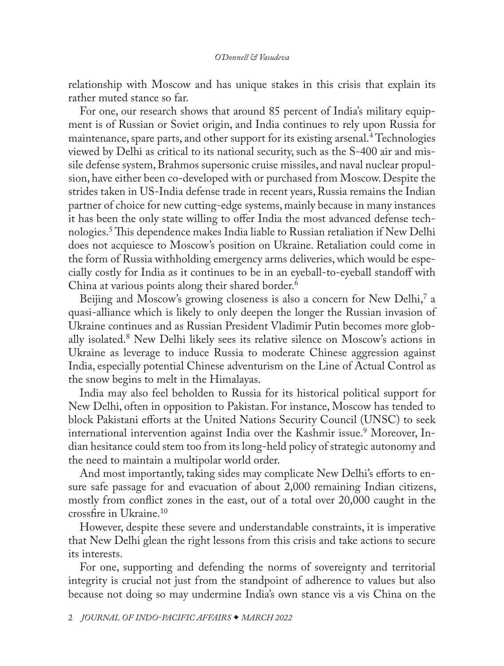<span id="page-1-0"></span>relationship with Moscow and has unique stakes in this crisis that explain its rather muted stance so far.

For one, our research shows that around 85 percent of India's military equipment is of Russian or Soviet origin, and India continues to rely upon Russia for maintenance, spare parts, and other support for its existing arsenal.[4](#page-4-0) Technologies viewed by Delhi as critical to its national security, such as the S-400 air and missile defense system, Brahmos supersonic cruise missiles, and naval nuclear propulsion, have either been co-developed with or purchased from Moscow. Despite the strides taken in US-India defense trade in recent years, Russia remains the Indian partner of choice for new cutting-edge systems, mainly because in many instances it has been the only state willing to offer India the most advanced defense technologies.[5](#page-4-0) This dependence makes India liable to Russian retaliation if New Delhi does not acquiesce to Moscow's position on Ukraine. Retaliation could come in the form of Russia withholding emergency arms deliveries, which would be especially costly for India as it continues to be in an eyeball-to-eyeball standoff with China at various points along their shared border.<sup>[6](#page-4-0)</sup>

Beijing and Moscow's growing closeness is also a concern for New Delhi,<sup>7</sup> a [quasi-alliance](https://www.tandfonline.com/doi/abs/10.1080/14751798.2020.1790805) which is likely to only deepen the longer the Russian invasion of Ukraine continues and as Russian President Vladimir Putin becomes more globally isolated.[8](#page-4-0) New Delhi likely sees its relative silence on Moscow's actions in Ukraine as leverage to induce Russia to moderate Chinese aggression against India, especially potential Chinese adventurism on the Line of Actual Control as the snow begins to melt in the Himalayas.

India may also feel beholden to Russia for its historical political support for New Delhi, often in opposition to Pakistan. For instance, Moscow has tended to block Pakistani efforts at the United Nations Security Council (UNSC) to seek international intervention against India over the Kashmir issue.<sup>[9](#page-4-0)</sup> Moreover, Indian hesitance could stem too from its long-held policy of strategic autonomy and the need to maintain a multipolar world order.

And most importantly, taking sides may complicate New Delhi's efforts to ensure safe passage for and evacuation of about 2,000 remaining Indian citizens, mostly from conflict zones in the east, out of a total over 20,000 caught in the crossfire in Ukraine.[10](#page-4-0)

However, despite these severe and understandable constraints, it is imperative that New Delhi glean the right lessons from this crisis and take actions to secure its interests.

For one, supporting and defending the norms of sovereignty and territorial integrity is crucial not just from the standpoint of adherence to values but also because not doing so may undermine India's own stance vis a vis China on the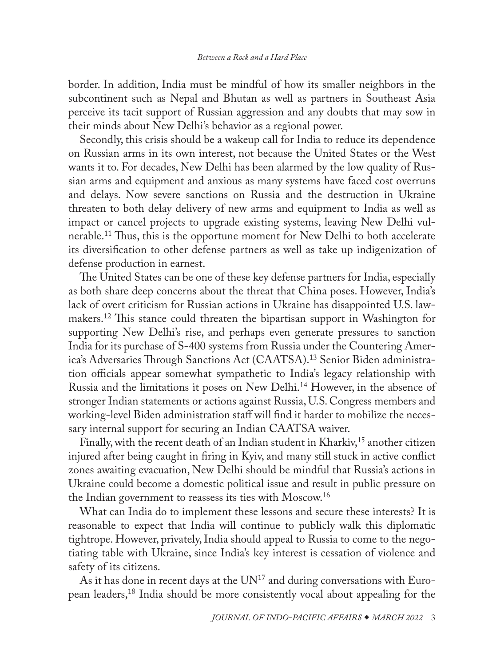<span id="page-2-0"></span>border. In addition, India must be mindful of how its smaller neighbors in the subcontinent such as Nepal and Bhutan as well as partners in Southeast Asia perceive its tacit support of Russian aggression and any doubts that may sow in their minds about New Delhi's behavior as a regional power.

Secondly, this crisis should be a wakeup call for India to reduce its dependence on Russian arms in its own interest, not because the United States or the West wants it to. For decades, New Delhi has been alarmed by the low quality of Russian arms and equipment and anxious as many systems have faced cost overruns and delays. Now severe sanctions on Russia and the destruction in Ukraine threaten to both delay delivery of new arms and equipment to India as well as impact or cancel projects to upgrade existing systems, leaving New Delhi vulnerable.[11](#page-4-0) Thus, this is the opportune moment for New Delhi to both accelerate its diversification to other defense partners as well as take up indigenization of defense production in earnest.

The United States can be one of these key defense partners for India, especially as both share deep concerns about the threat that China poses. However, India's lack of overt criticism for Russian actions in Ukraine has disappointed U.S. lawmakers[.12](#page-4-0) This stance could threaten the bipartisan support in Washington for supporting New Delhi's rise, and perhaps even generate pressures to sanction India for its purchase of S-400 systems from Russia under the Countering America's Adversaries Through Sanctions Act (CAATSA).[13](#page-4-0) Senior Biden administration officials appear somewhat sympathetic to India's legacy relationship with Russia and the limitations it poses on New Delhi.[14](#page-4-0) However, in the absence of stronger Indian statements or actions against Russia, U.S. Congress members and working-level Biden administration staff will find it harder to mobilize the necessary internal support for securing an Indian CAATSA waiver.

Finally, with the recent death of an Indian student in Kharkiv,<sup>15</sup> another citizen injured after being caught in firing in Kyiv, and many still stuck in active conflict zones awaiting evacuation, New Delhi should be mindful that Russia's actions in Ukraine could become a domestic political issue and result in public pressure on the Indian government to reassess its ties with Moscow[.16](#page-5-0)

What can India do to implement these lessons and secure these interests? It is reasonable to expect that India will continue to publicly walk this diplomatic tightrope. However, privately, India should appeal to Russia to come to the negotiating table with Ukraine, since India's key interest is cessation of violence and safety of its citizens.

As it has done in recent days at the  $UN^{17}$  and during conversations with European leaders,[18](#page-5-0) India should be more consistently vocal about appealing for the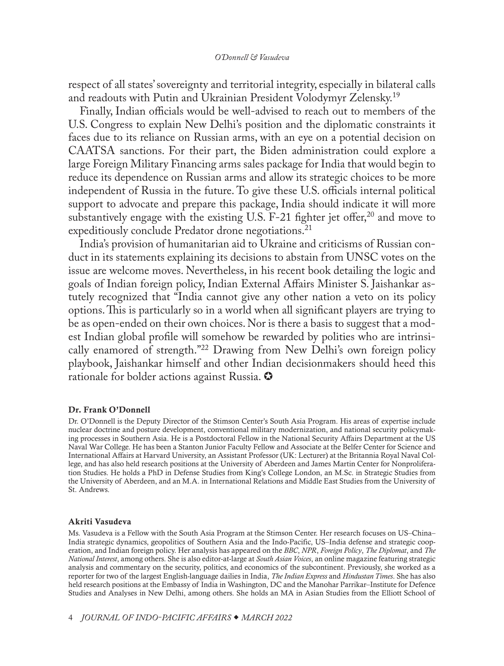#### *O'Donnell & Vasudeva*

<span id="page-3-0"></span>respect of all states' sovereignty and territorial integrity, especially in bilateral calls and readouts with Putin and Ukrainian President Volodymyr Zelensky.[19](#page-5-0)

Finally, Indian officials would be well-advised to reach out to members of the U.S. Congress to explain New Delhi's position and the diplomatic constraints it faces due to its reliance on Russian arms, with an eye on a potential decision on CAATSA sanctions. For their part, the Biden administration could explore a large Foreign Military Financing arms sales package for India that would begin to reduce its dependence on Russian arms and allow its strategic choices to be more independent of Russia in the future. To give these U.S. officials internal political support to advocate and prepare this package, India should indicate it will more substantively engage with the existing U.S.  $F-21$  fighter jet offer,<sup>[20](#page-5-0)</sup> and move to expeditiously conclude Predator drone negotiations.<sup>21</sup>

India's provision of humanitarian aid to Ukraine and criticisms of Russian conduct in its statements explaining its decisions to abstain from UNSC votes on the issue are welcome moves. Nevertheless, in his recent book detailing the logic and goals of Indian foreign policy, Indian External Affairs Minister S. Jaishankar astutely recognized that "India cannot give any other nation a veto on its policy options. This is particularly so in a world when all significant players are trying to be as open-ended on their own choices. Nor is there a basis to suggest that a modest Indian global profile will somehow be rewarded by polities who are intrinsically enamored of strength."[22](#page-5-0) Drawing from New Delhi's own foreign policy playbook, Jaishankar himself and other Indian decisionmakers should heed this rationale for bolder actions against Russia.  $\bullet$ 

#### Dr. Frank O'Donnell

Dr. O'Donnell is the Deputy Director of the Stimson Center's South Asia Program. His areas of expertise include nuclear doctrine and posture development, conventional military modernization, and national security policymaking processes in Southern Asia. He is a Postdoctoral Fellow in the National Security Affairs Department at the US Naval War College. He has been a Stanton Junior Faculty Fellow and Associate at the Belfer Center for Science and International Affairs at Harvard University, an Assistant Professor (UK: Lecturer) at the Britannia Royal Naval College, and has also held research positions at the University of Aberdeen and James Martin Center for Nonproliferation Studies. He holds a PhD in Defense Studies from King's College London, an M.Sc. in Strategic Studies from the University of Aberdeen, and an M.A. in International Relations and Middle East Studies from the University of St. Andrews.

#### Akriti Vasudeva

Ms. Vasudeva is a Fellow with the South Asia Program at the Stimson Center. Her research focuses on US–China– India strategic dynamics, geopolitics of Southern Asia and the Indo-Pacific, US–India defense and strategic cooperation, and Indian foreign policy. Her analysis has appeared on the *BBC*, *NPR*, *Foreign Policy*, *The Diplomat*, and *The National Interest*, among others. She is also editor-at-large at *South Asian Voices*, an online magazine featuring strategic analysis and commentary on the security, politics, and economics of the subcontinent. Previously, she worked as a reporter for two of the largest English-language dailies in India, *The Indian Express* and *Hindustan Times*. She has also held research positions at the Embassy of India in Washington, DC and the Manohar Parrikar–Institute for Defence Studies and Analyses in New Delhi, among others. She holds an MA in Asian Studies from the Elliott School of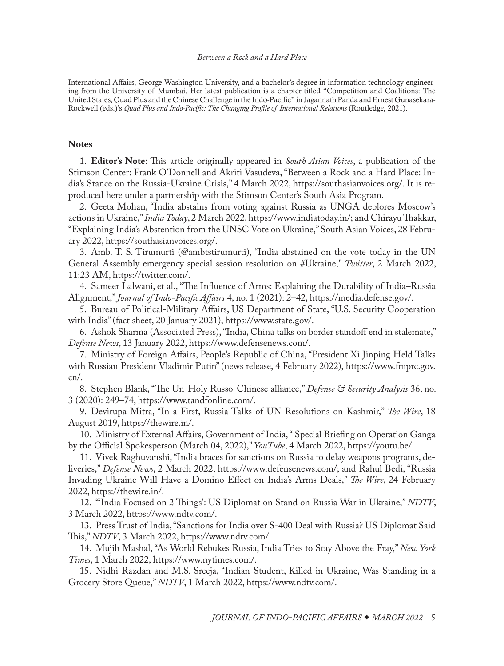#### *Between a Rock and a Hard Place*

<span id="page-4-0"></span>International Affairs, George Washington University, and a bachelor's degree in information technology engineering from the University of Mumbai. Her latest publication is a chapter titled "Competition and Coalitions: The United States, Quad Plus and the Chinese Challenge in the Indo-Pacific" in Jagannath Panda and Ernest Gunasekara-Rockwell (eds.)'s *Quad Plus and Indo-Pacific: The Changing Profile of International Relations* (Routledge, 2021).

#### **Notes**

[1](#page-0-0). **Editor's Note**: This article originally appeared in *South Asian Voices*, a publication of the Stimson Center: Frank O'Donnell and Akriti Vasudeva, "Between a Rock and a Hard Place: India's Stance on the Russia-Ukraine Crisis," 4 March 2022, [https://southasianvoices.org/](https://southasianvoices.org/between-a-rock-and-a-hard-place-indias-stance-on-the-russia-ukraine-crisis/). It is reproduced here under a partnership with the Stimson Center's South Asia Program.

[2](#page-0-0). Geeta Mohan, "India abstains from voting against Russia as UNGA deplores Moscow's actions in Ukraine," *India Today*, 2 March 2022, [https://www.indiatoday.in/](https://www.indiatoday.in/india/story/india-abstains-from-voting-against-russia-as-unga-deplores-moscow-actions-in-ukraine-1919991-2022-03-02); and Chirayu Thakkar, "Explaining India's Abstention from the UNSC Vote on Ukraine," South Asian Voices, 28 February 2022, [https://southasianvoices.org/.](https://southasianvoices.org/explaining-indias-abstention-from-the-unsc-vote-on-ukraine/)

[3](#page-0-0). Amb. T. S. Tirumurti (@ambtstirumurti), "India abstained on the vote today in the UN General Assembly emergency special session resolution on #Ukraine," *Twitter*, 2 March 2022, 11:23 AM, [https://twitter.com/](https://twitter.com/ambtstirumurti/status/1499073038154874881?s=20&t=L9dvZf7kkRzAYg8yoTGQ0w).

[4](#page-1-0). Sameer Lalwani, et al., "The Influence of Arms: Explaining the Durability of India–Russia Alignment," *Journal of Indo-Pacific Affairs* 4, no. 1 (2021): 2–42, [https://media.defense.gov/.](https://media.defense.gov/2021/Jan/15/2002565540/-1/-1/1/LALWANI.PDF/LALWANI.PDF)

[5](#page-1-0). Bureau of Political-Military Affairs, US Department of State, "U.S. Security Cooperation with India" (fact sheet, 20 January 2021), [https://www.state.gov/](https://www.state.gov/u-s-security-cooperation-with-india/).

[6](#page-1-0). Ashok Sharma (Associated Press), "India, China talks on border standoff end in stalemate," *Defense News*, 13 January 2022, [https://www.defensenews.com/.](https://www.defensenews.com/global/asia-pacific/2022/01/13/india-china-talks-on-border-standoff-end-in-stalemate/)

[7](#page-1-0). Ministry of Foreign Affairs, People's Republic of China, "President Xi Jinping Held Talks with Russian President Vladimir Putin" (news release, 4 February 2022), [https://www.fmprc.gov.](https://www.fmprc.gov.cn/mfa_eng/zxxx_662805/202202/t20220204_10638923.html) [cn/.](https://www.fmprc.gov.cn/mfa_eng/zxxx_662805/202202/t20220204_10638923.html)

[8](#page-1-0). Stephen Blank, "The Un-Holy Russo-Chinese alliance," *Defense & Security Analysis* 36, no. 3 (2020): 249–74, [https://www.tandfonline.com/.](https://www.tandfonline.com/doi/abs/10.1080/14751798.2020.1790805)

[9](#page-1-0). Devirupa Mitra, "In a First, Russia Talks of UN Resolutions on Kashmir," *The Wire*, 18 August 2019, [https://thewire.in/.](https://thewire.in/diplomacy/kashmir-article-370-russia-un-security-council)

[10](#page-1-0). Ministry of External Affairs, Government of India, " Special Briefing on Operation Ganga by the Official Spokesperson (March 04, 2022)," *YouTube*, 4 March 2022, [https://youtu.be/](https://youtu.be/KZQLFlv_BTU?t=525).

[11](#page-2-0). Vivek Raghuvanshi, "India braces for sanctions on Russia to delay weapons programs, deliveries," *Defense News*, 2 March 2022, [https://www.defensenews.com/](https://www.defensenews.com/global/asia-pacific/2022/03/02/india-braces-for-sanctions-on-russia-to-delay-weapons-programs-deliveries/); and Rahul Bedi, "Russia Invading Ukraine Will Have a Domino Effect on India's Arms Deals," *The Wire*, 24 February 2022, [https://thewire.in/](https://thewire.in/security/russia-invading-ukraine-will-have-a-domino-effect-on-indias-arms-deals).

[12](#page-2-0). "'India Focused on 2 Things': US Diplomat on Stand on Russia War in Ukraine," *NDTV*, 3 March 2022, [https://www.ndtv.com/](https://www.ndtv.com/india-news/working-to-get-india-to-take-clear-position-on-ukraine-war-us-diplomat-2800403).

[13](#page-2-0). Press Trust of India, "Sanctions for India over S-400 Deal with Russia? US Diplomat Said This," *NDTV*, 3 March 2022, [https://www.ndtv.com/](https://www.ndtv.com/india-news/biden-administration-looking-whether-to-apply-or-waive-sanctions-on-india-under-caatsa-us-diplomat-2800400).

[14](#page-2-0). Mujib Mashal, "As World Rebukes Russia, India Tries to Stay Above the Fray," *New York Times*, 1 March 2022, [https://www.nytimes.com/](https://www.nytimes.com/2022/03/01/world/asia/india-russia-united-states-ukraine.html).

[15](#page-2-0). Nidhi Razdan and M.S. Sreeja, "Indian Student, Killed in Ukraine, Was Standing in a Grocery Store Queue," *NDTV*, 1 March 2022, [https://www.ndtv.com/.](https://www.ndtv.com/india-news/indian-student-killed-in-ukraine-was-standing-in-a-grocery-store-queue-2796821)